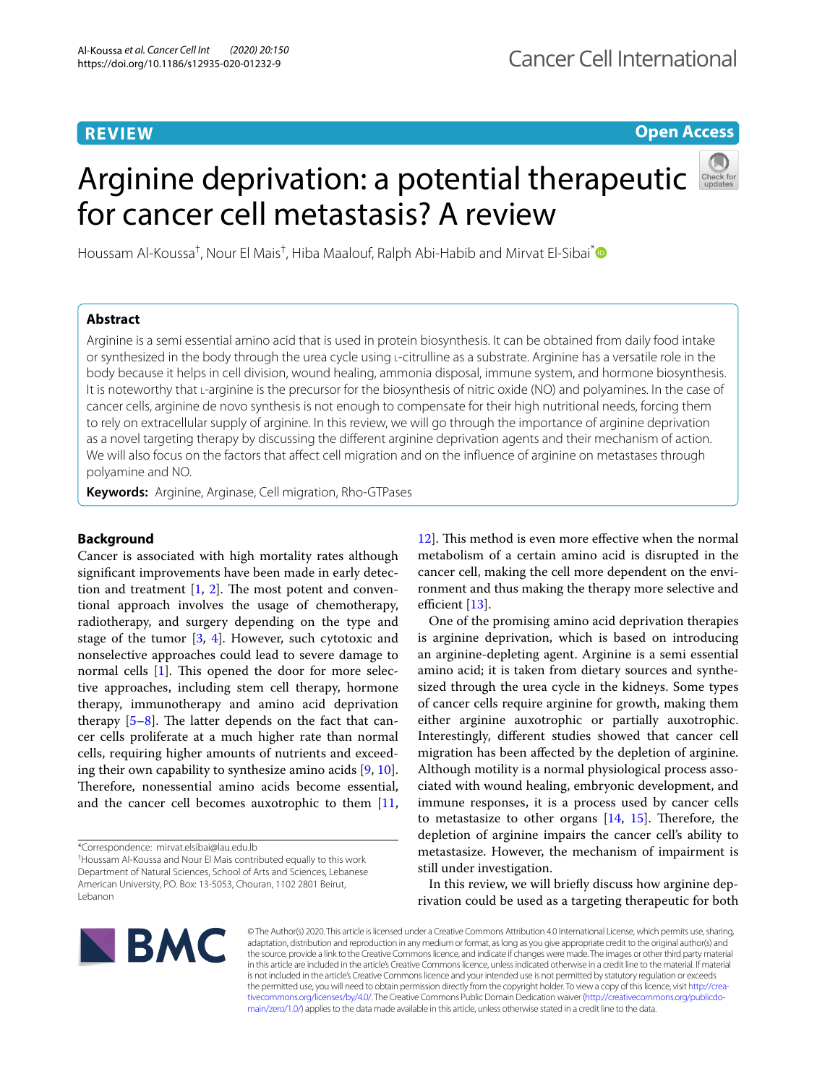# **REVIEW**

# **Open Access**

# Arginine deprivation: a potential therapeutic for cancer cell metastasis? A review



Houssam Al-Koussa<sup>†</sup>, Nour El Mais<sup>†</sup>, Hiba Maalouf, Ralph Abi-Habib and Mirvat El-Sibai<sup>[\\*](http://orcid.org/0000-0003-4084-6759)</sup>

## **Abstract**

Arginine is a semi essential amino acid that is used in protein biosynthesis. It can be obtained from daily food intake or synthesized in the body through the urea cycle using l-citrulline as a substrate. Arginine has a versatile role in the body because it helps in cell division, wound healing, ammonia disposal, immune system, and hormone biosynthesis. It is noteworthy that L-arginine is the precursor for the biosynthesis of nitric oxide (NO) and polyamines. In the case of cancer cells, arginine de novo synthesis is not enough to compensate for their high nutritional needs, forcing them to rely on extracellular supply of arginine. In this review, we will go through the importance of arginine deprivation as a novel targeting therapy by discussing the diferent arginine deprivation agents and their mechanism of action. We will also focus on the factors that affect cell migration and on the influence of arginine on metastases through polyamine and NO.

**Keywords:** Arginine, Arginase, Cell migration, Rho-GTPases

## **Background**

Cancer is associated with high mortality rates although signifcant improvements have been made in early detection and treatment  $[1, 2]$  $[1, 2]$  $[1, 2]$  $[1, 2]$ . The most potent and conventional approach involves the usage of chemotherapy, radiotherapy, and surgery depending on the type and stage of the tumor  $[3, 4]$  $[3, 4]$  $[3, 4]$  $[3, 4]$ . However, such cytotoxic and nonselective approaches could lead to severe damage to normal cells  $[1]$  $[1]$ . This opened the door for more selective approaches, including stem cell therapy, hormone therapy, immunotherapy and amino acid deprivation therapy  $[5-8]$  $[5-8]$  $[5-8]$ . The latter depends on the fact that cancer cells proliferate at a much higher rate than normal cells, requiring higher amounts of nutrients and exceeding their own capability to synthesize amino acids [[9,](#page-5-1) [10](#page-5-2)]. Therefore, nonessential amino acids become essential, and the cancer cell becomes auxotrophic to them [\[11](#page-5-3),

\*Correspondence: mirvat.elsibai@lau.edu.lb

† Houssam Al-Koussa and Nour El Mais contributed equally to this work Department of Natural Sciences, School of Arts and Sciences, Lebanese American University, P.O. Box: 13‑5053, Chouran, 1102 2801 Beirut, Lebanon

[12\]](#page-5-4). This method is even more effective when the normal metabolism of a certain amino acid is disrupted in the cancer cell, making the cell more dependent on the environment and thus making the therapy more selective and efficient  $[13]$ .

One of the promising amino acid deprivation therapies is arginine deprivation, which is based on introducing an arginine-depleting agent. Arginine is a semi essential amino acid; it is taken from dietary sources and synthesized through the urea cycle in the kidneys. Some types of cancer cells require arginine for growth, making them either arginine auxotrophic or partially auxotrophic. Interestingly, diferent studies showed that cancer cell migration has been afected by the depletion of arginine. Although motility is a normal physiological process associated with wound healing, embryonic development, and immune responses, it is a process used by cancer cells to metastasize to other organs  $[14, 15]$  $[14, 15]$  $[14, 15]$  $[14, 15]$ . Therefore, the depletion of arginine impairs the cancer cell's ability to metastasize. However, the mechanism of impairment is still under investigation.

In this review, we will briefy discuss how arginine deprivation could be used as a targeting therapeutic for both



© The Author(s) 2020. This article is licensed under a Creative Commons Attribution 4.0 International License, which permits use, sharing, adaptation, distribution and reproduction in any medium or format, as long as you give appropriate credit to the original author(s) and the source, provide a link to the Creative Commons licence, and indicate if changes were made. The images or other third party material in this article are included in the article's Creative Commons licence, unless indicated otherwise in a credit line to the material. If material is not included in the article's Creative Commons licence and your intended use is not permitted by statutory regulation or exceeds the permitted use, you will need to obtain permission directly from the copyright holder. To view a copy of this licence, visit http://crea[tivecommons.org/licenses/by/4.0/.](http://creativecommons.org/licenses/by/4.0/) The Creative Commons Public Domain Dedication waiver (http://creativecommons.org/publicdo[main/zero/1.0/\)](http://creativecommons.org/publicdomain/zero/1.0/) applies to the data made available in this article, unless otherwise stated in a credit line to the data.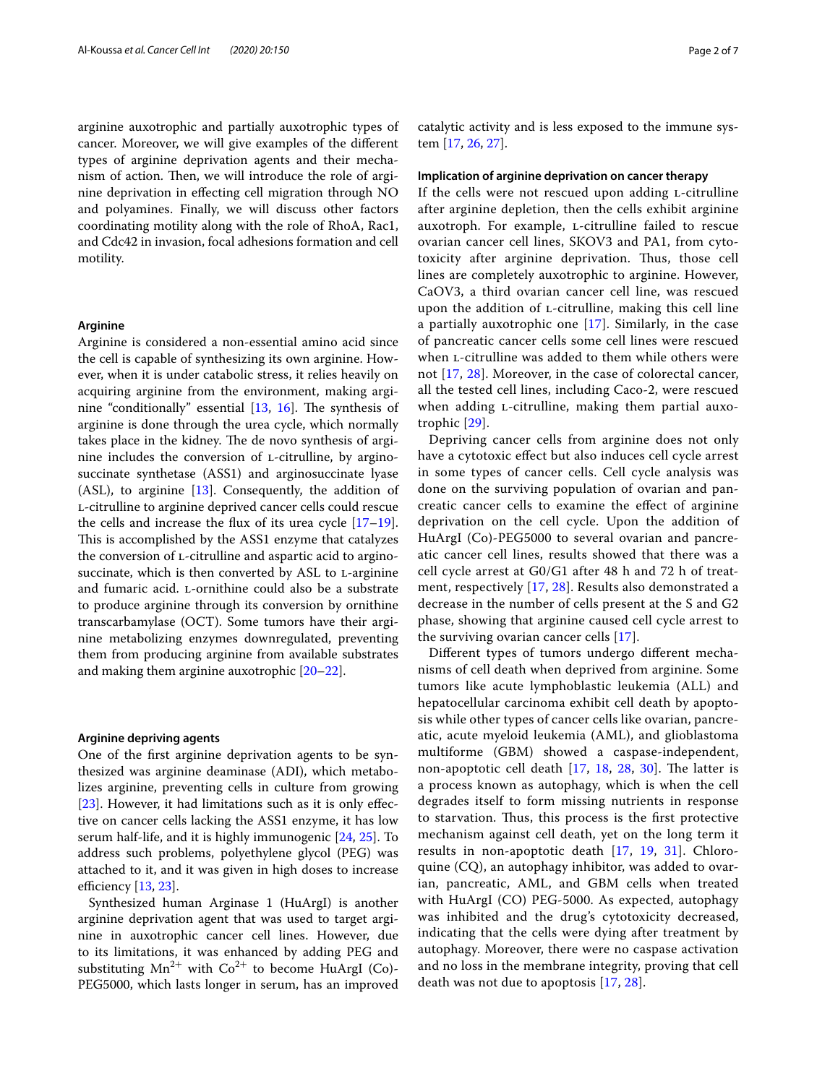arginine auxotrophic and partially auxotrophic types of cancer. Moreover, we will give examples of the diferent types of arginine deprivation agents and their mechanism of action. Then, we will introduce the role of arginine deprivation in efecting cell migration through NO and polyamines. Finally, we will discuss other factors coordinating motility along with the role of RhoA, Rac1, and Cdc42 in invasion, focal adhesions formation and cell motility.

### **Arginine**

Arginine is considered a non-essential amino acid since the cell is capable of synthesizing its own arginine. However, when it is under catabolic stress, it relies heavily on acquiring arginine from the environment, making arginine "conditionally" essential  $[13, 16]$  $[13, 16]$  $[13, 16]$  $[13, 16]$ . The synthesis of arginine is done through the urea cycle, which normally takes place in the kidney. The de novo synthesis of arginine includes the conversion of *L*-citrulline, by arginosuccinate synthetase (ASS1) and arginosuccinate lyase (ASL), to arginine  $[13]$  $[13]$  $[13]$ . Consequently, the addition of l-citrulline to arginine deprived cancer cells could rescue the cells and increase the fux of its urea cycle [[17](#page-5-9)[–19](#page-5-10)]. This is accomplished by the ASS1 enzyme that catalyzes the conversion of l-citrulline and aspartic acid to arginosuccinate, which is then converted by ASL to L-arginine and fumaric acid. l-ornithine could also be a substrate to produce arginine through its conversion by ornithine transcarbamylase (OCT). Some tumors have their arginine metabolizing enzymes downregulated, preventing them from producing arginine from available substrates and making them arginine auxotrophic [\[20](#page-5-11)[–22\]](#page-5-12).

#### **Arginine depriving agents**

One of the frst arginine deprivation agents to be synthesized was arginine deaminase (ADI), which metabolizes arginine, preventing cells in culture from growing [[23\]](#page-5-13). However, it had limitations such as it is only effective on cancer cells lacking the ASS1 enzyme, it has low serum half-life, and it is highly immunogenic [\[24](#page-5-14), [25\]](#page-5-15). To address such problems, polyethylene glycol (PEG) was attached to it, and it was given in high doses to increase efficiency  $[13, 23]$  $[13, 23]$  $[13, 23]$  $[13, 23]$ .

Synthesized human Arginase 1 (HuArgI) is another arginine deprivation agent that was used to target arginine in auxotrophic cancer cell lines. However, due to its limitations, it was enhanced by adding PEG and substituting  $Mn^{2+}$  with  $Co^{2+}$  to become HuArgI (Co)-PEG5000, which lasts longer in serum, has an improved catalytic activity and is less exposed to the immune system [\[17,](#page-5-9) [26](#page-5-16), [27\]](#page-5-17).

#### **Implication of arginine deprivation on cancer therapy**

If the cells were not rescued upon adding *L*-citrulline after arginine depletion, then the cells exhibit arginine auxotroph. For example, *L*-citrulline failed to rescue ovarian cancer cell lines, SKOV3 and PA1, from cytotoxicity after arginine deprivation. Thus, those cell lines are completely auxotrophic to arginine. However, CaOV3, a third ovarian cancer cell line, was rescued upon the addition of *L*-citrulline, making this cell line a partially auxotrophic one [[17\]](#page-5-9). Similarly, in the case of pancreatic cancer cells some cell lines were rescued when L-citrulline was added to them while others were not [\[17](#page-5-9), [28\]](#page-5-18). Moreover, in the case of colorectal cancer, all the tested cell lines, including Caco-2, were rescued when adding *L*-citrulline, making them partial auxotrophic [\[29](#page-5-19)].

Depriving cancer cells from arginine does not only have a cytotoxic efect but also induces cell cycle arrest in some types of cancer cells. Cell cycle analysis was done on the surviving population of ovarian and pancreatic cancer cells to examine the efect of arginine deprivation on the cell cycle. Upon the addition of HuArgI (Co)-PEG5000 to several ovarian and pancreatic cancer cell lines, results showed that there was a cell cycle arrest at G0/G1 after 48 h and 72 h of treatment, respectively [[17,](#page-5-9) [28\]](#page-5-18). Results also demonstrated a decrease in the number of cells present at the S and G2 phase, showing that arginine caused cell cycle arrest to the surviving ovarian cancer cells [[17\]](#page-5-9).

Diferent types of tumors undergo diferent mechanisms of cell death when deprived from arginine. Some tumors like acute lymphoblastic leukemia (ALL) and hepatocellular carcinoma exhibit cell death by apoptosis while other types of cancer cells like ovarian, pancreatic, acute myeloid leukemia (AML), and glioblastoma multiforme (GBM) showed a caspase-independent, non-apoptotic cell death  $[17, 18, 28, 30]$  $[17, 18, 28, 30]$  $[17, 18, 28, 30]$  $[17, 18, 28, 30]$  $[17, 18, 28, 30]$  $[17, 18, 28, 30]$  $[17, 18, 28, 30]$  $[17, 18, 28, 30]$ . The latter is a process known as autophagy, which is when the cell degrades itself to form missing nutrients in response to starvation. Thus, this process is the first protective mechanism against cell death, yet on the long term it results in non-apoptotic death [[17](#page-5-9), [19,](#page-5-10) [31\]](#page-5-22). Chloroquine (CQ), an autophagy inhibitor, was added to ovarian, pancreatic, AML, and GBM cells when treated with HuArgI (CO) PEG-5000. As expected, autophagy was inhibited and the drug's cytotoxicity decreased, indicating that the cells were dying after treatment by autophagy. Moreover, there were no caspase activation and no loss in the membrane integrity, proving that cell death was not due to apoptosis [\[17,](#page-5-9) [28](#page-5-18)].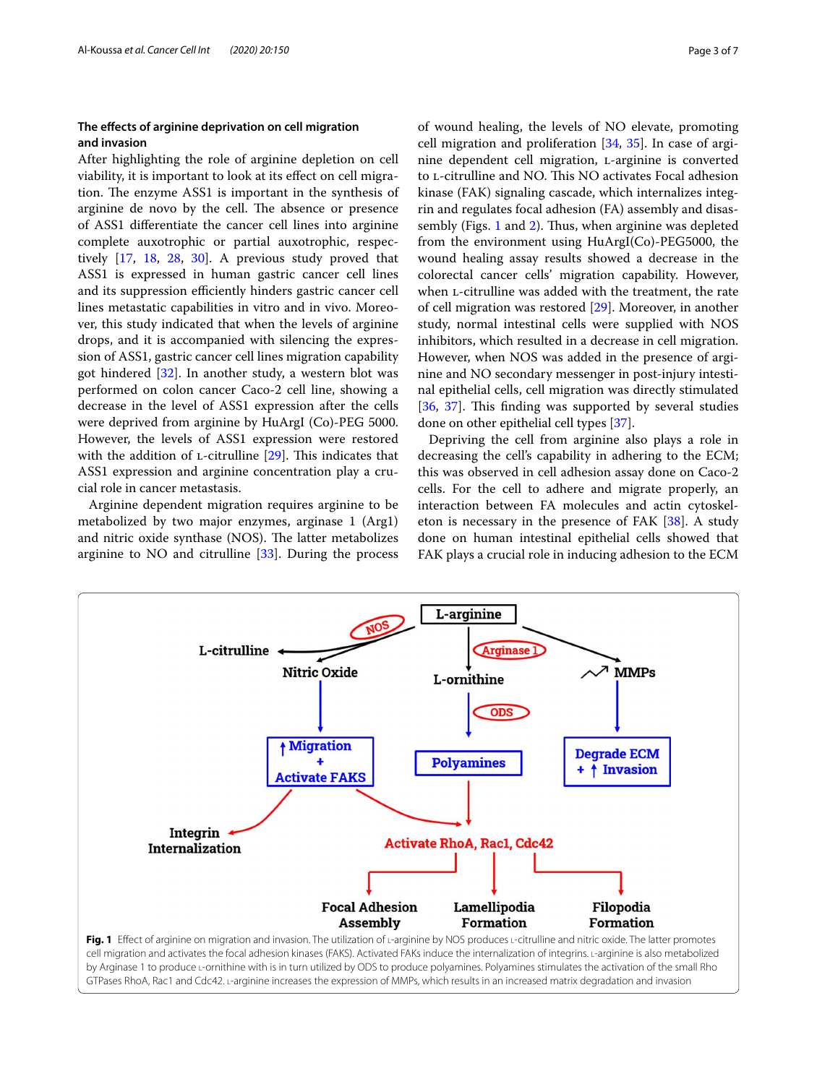## **The efects of arginine deprivation on cell migration and invasion**

After highlighting the role of arginine depletion on cell viability, it is important to look at its efect on cell migration. The enzyme ASS1 is important in the synthesis of arginine de novo by the cell. The absence or presence of ASS1 diferentiate the cancer cell lines into arginine complete auxotrophic or partial auxotrophic, respectively [\[17,](#page-5-9) [18](#page-5-20), [28,](#page-5-18) [30](#page-5-21)]. A previous study proved that ASS1 is expressed in human gastric cancer cell lines and its suppression efficiently hinders gastric cancer cell lines metastatic capabilities in vitro and in vivo. Moreover, this study indicated that when the levels of arginine drops, and it is accompanied with silencing the expression of ASS1, gastric cancer cell lines migration capability got hindered [\[32\]](#page-5-23). In another study, a western blot was performed on colon cancer Caco-2 cell line, showing a decrease in the level of ASS1 expression after the cells were deprived from arginine by HuArgI (Co)-PEG 5000. However, the levels of ASS1 expression were restored with the addition of  $L$ -citrulline [\[29](#page-5-19)]. This indicates that ASS1 expression and arginine concentration play a crucial role in cancer metastasis.

Arginine dependent migration requires arginine to be metabolized by two major enzymes, arginase 1 (Arg1) and nitric oxide synthase (NOS). The latter metabolizes arginine to NO and citrulline [[33\]](#page-5-24). During the process

of wound healing, the levels of NO elevate, promoting cell migration and proliferation [[34](#page-5-25), [35\]](#page-5-26). In case of arginine dependent cell migration, L-arginine is converted to *L*-citrulline and NO. This NO activates Focal adhesion kinase (FAK) signaling cascade, which internalizes integrin and regulates focal adhesion (FA) assembly and disassembly (Figs.  $1$  and  $2$ ). Thus, when arginine was depleted from the environment using HuArgI(Co)-PEG5000, the wound healing assay results showed a decrease in the colorectal cancer cells' migration capability. However, when *L*-citrulline was added with the treatment, the rate of cell migration was restored [\[29](#page-5-19)]. Moreover, in another study, normal intestinal cells were supplied with NOS inhibitors, which resulted in a decrease in cell migration. However, when NOS was added in the presence of arginine and NO secondary messenger in post-injury intestinal epithelial cells, cell migration was directly stimulated  $[36, 37]$  $[36, 37]$  $[36, 37]$  $[36, 37]$ . This finding was supported by several studies done on other epithelial cell types [[37\]](#page-5-28).

Depriving the cell from arginine also plays a role in decreasing the cell's capability in adhering to the ECM; this was observed in cell adhesion assay done on Caco-2 cells. For the cell to adhere and migrate properly, an interaction between FA molecules and actin cytoskeleton is necessary in the presence of FAK [[38](#page-5-29)]. A study done on human intestinal epithelial cells showed that FAK plays a crucial role in inducing adhesion to the ECM

<span id="page-2-0"></span>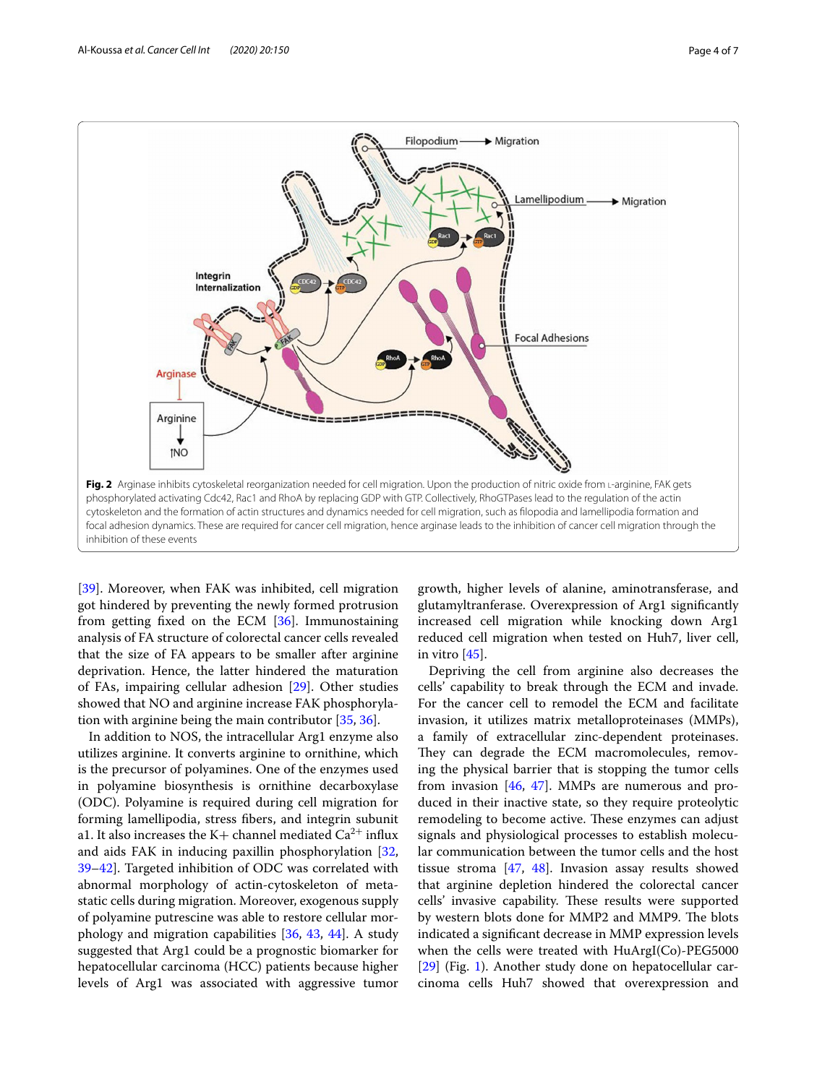

<span id="page-3-0"></span>[[39\]](#page-5-30). Moreover, when FAK was inhibited, cell migration got hindered by preventing the newly formed protrusion from getting fxed on the ECM [\[36](#page-5-27)]. Immunostaining analysis of FA structure of colorectal cancer cells revealed that the size of FA appears to be smaller after arginine deprivation. Hence, the latter hindered the maturation of FAs, impairing cellular adhesion [[29\]](#page-5-19). Other studies showed that NO and arginine increase FAK phosphorylation with arginine being the main contributor [[35,](#page-5-26) [36](#page-5-27)].

In addition to NOS, the intracellular Arg1 enzyme also utilizes arginine. It converts arginine to ornithine, which is the precursor of polyamines. One of the enzymes used in polyamine biosynthesis is ornithine decarboxylase (ODC). Polyamine is required during cell migration for forming lamellipodia, stress fbers, and integrin subunit a1. It also increases the K+ channel mediated  $Ca^{2+}$  influx and aids FAK in inducing paxillin phosphorylation [\[32](#page-5-23), [39–](#page-5-30)[42](#page-5-31)]. Targeted inhibition of ODC was correlated with abnormal morphology of actin-cytoskeleton of metastatic cells during migration. Moreover, exogenous supply of polyamine putrescine was able to restore cellular morphology and migration capabilities [\[36,](#page-5-27) [43,](#page-5-32) [44](#page-5-33)]. A study suggested that Arg1 could be a prognostic biomarker for hepatocellular carcinoma (HCC) patients because higher levels of Arg1 was associated with aggressive tumor growth, higher levels of alanine, aminotransferase, and glutamyltranferase. Overexpression of Arg1 signifcantly increased cell migration while knocking down Arg1 reduced cell migration when tested on Huh7, liver cell, in vitro [[45\]](#page-5-34).

Depriving the cell from arginine also decreases the cells' capability to break through the ECM and invade. For the cancer cell to remodel the ECM and facilitate invasion, it utilizes matrix metalloproteinases (MMPs), a family of extracellular zinc-dependent proteinases. They can degrade the ECM macromolecules, removing the physical barrier that is stopping the tumor cells from invasion [[46,](#page-5-35) [47](#page-5-36)]. MMPs are numerous and produced in their inactive state, so they require proteolytic remodeling to become active. These enzymes can adjust signals and physiological processes to establish molecular communication between the tumor cells and the host tissue stroma [\[47](#page-5-36), [48\]](#page-5-37). Invasion assay results showed that arginine depletion hindered the colorectal cancer cells' invasive capability. These results were supported by western blots done for MMP2 and MMP9. The blots indicated a signifcant decrease in MMP expression levels when the cells were treated with HuArgI(Co)-PEG5000 [[29\]](#page-5-19) (Fig. [1\)](#page-2-0). Another study done on hepatocellular carcinoma cells Huh7 showed that overexpression and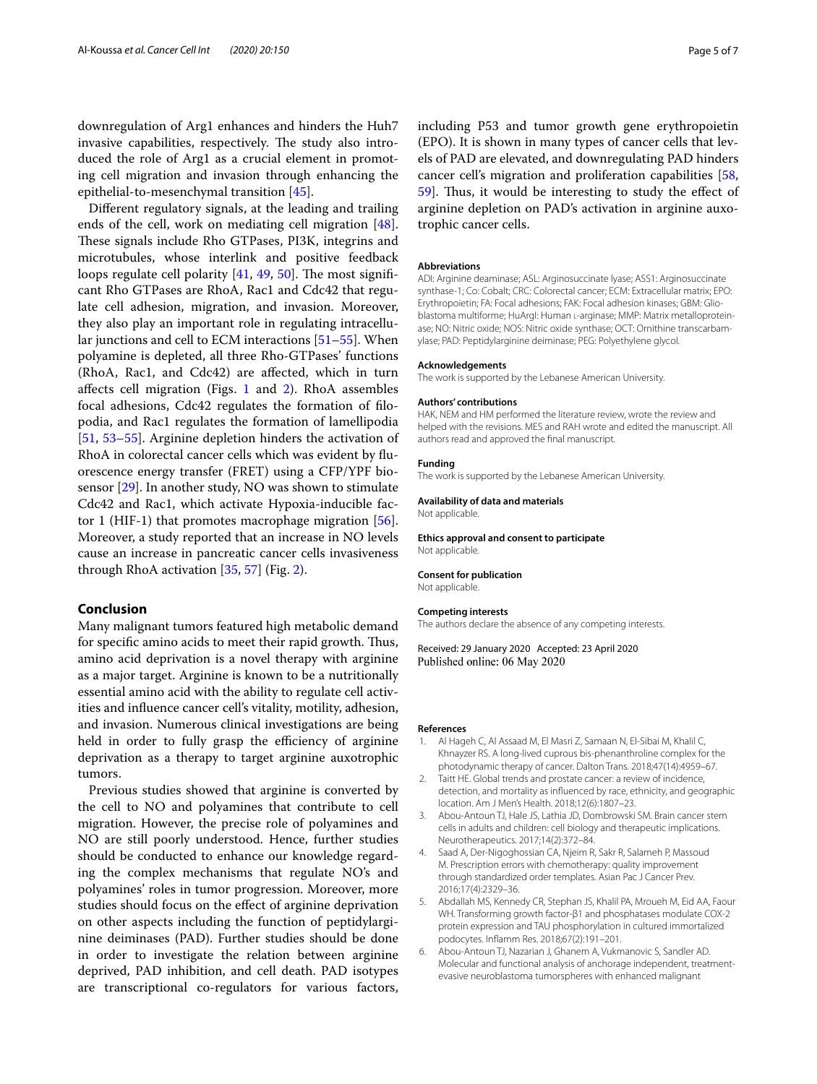downregulation of Arg1 enhances and hinders the Huh7 invasive capabilities, respectively. The study also introduced the role of Arg1 as a crucial element in promoting cell migration and invasion through enhancing the epithelial-to-mesenchymal transition [[45\]](#page-5-34).

Diferent regulatory signals, at the leading and trailing ends of the cell, work on mediating cell migration [\[48](#page-5-37)]. These signals include Rho GTPases, PI3K, integrins and microtubules, whose interlink and positive feedback loops regulate cell polarity  $[41, 49, 50]$  $[41, 49, 50]$  $[41, 49, 50]$  $[41, 49, 50]$  $[41, 49, 50]$  $[41, 49, 50]$ . The most significant Rho GTPases are RhoA, Rac1 and Cdc42 that regulate cell adhesion, migration, and invasion. Moreover, they also play an important role in regulating intracellular junctions and cell to ECM interactions [[51–](#page-5-41)[55\]](#page-6-0). When polyamine is depleted, all three Rho-GTPases' functions (RhoA, Rac1, and Cdc42) are afected, which in turn afects cell migration (Figs. [1](#page-2-0) and [2](#page-3-0)). RhoA assembles focal adhesions, Cdc42 regulates the formation of flopodia, and Rac1 regulates the formation of lamellipodia [[51,](#page-5-41) [53–](#page-5-42)[55\]](#page-6-0). Arginine depletion hinders the activation of RhoA in colorectal cancer cells which was evident by fuorescence energy transfer (FRET) using a CFP/YPF biosensor [[29\]](#page-5-19). In another study, NO was shown to stimulate Cdc42 and Rac1, which activate Hypoxia-inducible factor 1 (HIF-1) that promotes macrophage migration [\[56](#page-6-1)]. Moreover, a study reported that an increase in NO levels cause an increase in pancreatic cancer cells invasiveness through RhoA activation [[35,](#page-5-26) [57\]](#page-6-2) (Fig. [2\)](#page-3-0).

## **Conclusion**

Many malignant tumors featured high metabolic demand for specific amino acids to meet their rapid growth. Thus, amino acid deprivation is a novel therapy with arginine as a major target. Arginine is known to be a nutritionally essential amino acid with the ability to regulate cell activities and infuence cancer cell's vitality, motility, adhesion, and invasion. Numerous clinical investigations are being held in order to fully grasp the efficiency of arginine deprivation as a therapy to target arginine auxotrophic tumors.

Previous studies showed that arginine is converted by the cell to NO and polyamines that contribute to cell migration. However, the precise role of polyamines and NO are still poorly understood. Hence, further studies should be conducted to enhance our knowledge regarding the complex mechanisms that regulate NO's and polyamines' roles in tumor progression. Moreover, more studies should focus on the efect of arginine deprivation on other aspects including the function of peptidylarginine deiminases (PAD). Further studies should be done in order to investigate the relation between arginine deprived, PAD inhibition, and cell death. PAD isotypes are transcriptional co-regulators for various factors, including P53 and tumor growth gene erythropoietin (EPO). It is shown in many types of cancer cells that levels of PAD are elevated, and downregulating PAD hinders cancer cell's migration and proliferation capabilities [[58](#page-6-3), [59\]](#page-6-4). Thus, it would be interesting to study the effect of arginine depletion on PAD's activation in arginine auxotrophic cancer cells.

#### **Abbreviations**

ADI: Arginine deaminase; ASL: Arginosuccinate lyase; ASS1: Arginosuccinate synthase-1; Co: Cobalt; CRC: Colorectal cancer; ECM: Extracellular matrix; EPO: Erythropoietin; FA: Focal adhesions; FAK: Focal adhesion kinases; GBM: Glioblastoma multiforme; HuArgl: Human L-arginase; MMP: Matrix metalloproteinase; NO: Nitric oxide; NOS: Nitric oxide synthase; OCT: Ornithine transcarbamylase; PAD: Peptidylarginine deiminase; PEG: Polyethylene glycol.

## **Acknowledgements**

The work is supported by the Lebanese American University.

#### **Authors' contributions**

HAK, NEM and HM performed the literature review, wrote the review and helped with the revisions. MES and RAH wrote and edited the manuscript. All authors read and approved the fnal manuscript.

#### **Funding**

The work is supported by the Lebanese American University.

## **Availability of data and materials**

Not applicable.

#### **Ethics approval and consent to participate** Not applicable.

#### **Consent for publication** Not applicable.

#### **Competing interests**

The authors declare the absence of any competing interests.

Received: 29 January 2020 Accepted: 23 April 2020 Published online: 06 May 2020

#### **References**

- <span id="page-4-0"></span>1. Al Hageh C, Al Assaad M, El Masri Z, Samaan N, El-Sibai M, Khalil C, Khnayzer RS. A long-lived cuprous bis-phenanthroline complex for the photodynamic therapy of cancer. Dalton Trans. 2018;47(14):4959–67.
- <span id="page-4-1"></span>2. Taitt HE. Global trends and prostate cancer: a review of incidence, detection, and mortality as infuenced by race, ethnicity, and geographic location. Am J Men's Health. 2018;12(6):1807–23.
- <span id="page-4-2"></span>3. Abou-Antoun TJ, Hale JS, Lathia JD, Dombrowski SM. Brain cancer stem cells in adults and children: cell biology and therapeutic implications. Neurotherapeutics. 2017;14(2):372–84.
- <span id="page-4-3"></span>4. Saad A, Der-Nigoghossian CA, Njeim R, Sakr R, Salameh P, Massoud M. Prescription errors with chemotherapy: quality improvement through standardized order templates. Asian Pac J Cancer Prev. 2016;17(4):2329–36.
- <span id="page-4-4"></span>5. Abdallah MS, Kennedy CR, Stephan JS, Khalil PA, Mroueh M, Eid AA, Faour WH. Transforming growth factor-β1 and phosphatases modulate COX-2 protein expression and TAU phosphorylation in cultured immortalized podocytes. Infamm Res. 2018;67(2):191–201.
- 6. Abou-Antoun TJ, Nazarian J, Ghanem A, Vukmanovic S, Sandler AD. Molecular and functional analysis of anchorage independent, treatmentevasive neuroblastoma tumorspheres with enhanced malignant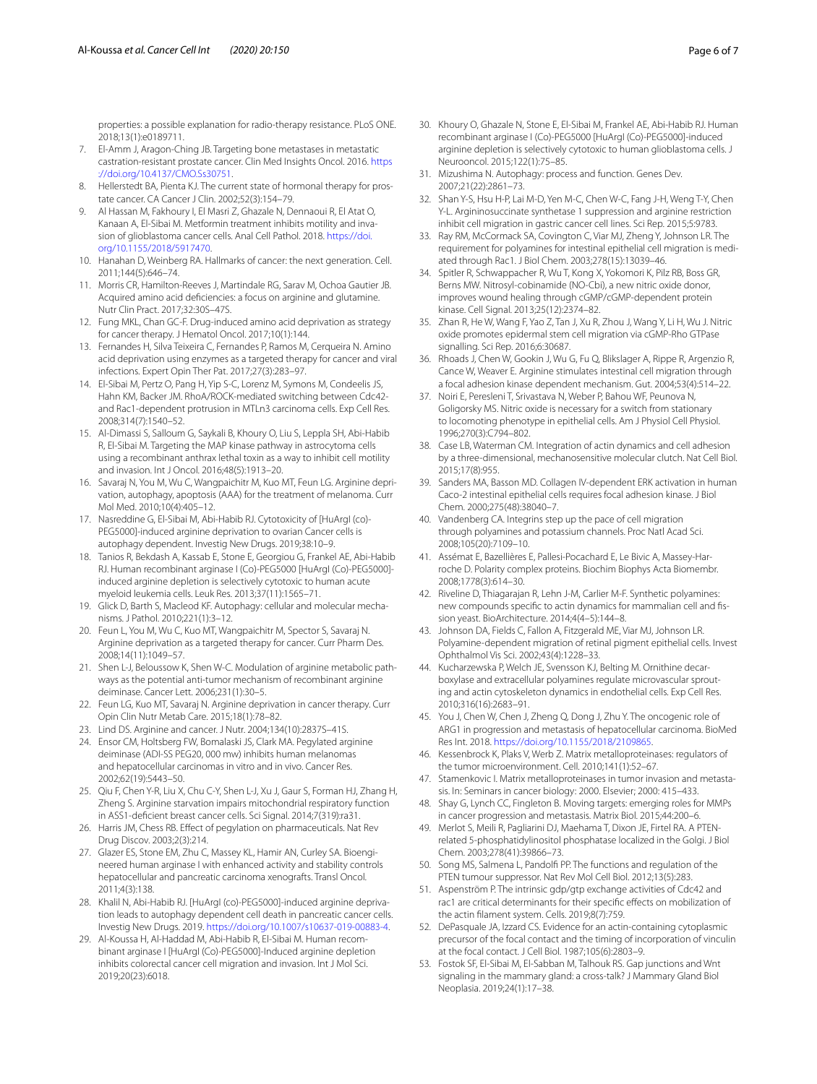properties: a possible explanation for radio-therapy resistance. PLoS ONE. 2018;13(1):e0189711.

- 7. El-Amm J, Aragon-Ching JB. Targeting bone metastases in metastatic castration-resistant prostate cancer. Clin Med Insights Oncol. 2016. [https](https://doi.org/10.4137/CMO.Ss30751) [://doi.org/10.4137/CMO.Ss30751.](https://doi.org/10.4137/CMO.Ss30751)
- <span id="page-5-0"></span>8. Hellerstedt BA, Pienta KJ. The current state of hormonal therapy for prostate cancer. CA Cancer J Clin. 2002;52(3):154–79.
- <span id="page-5-1"></span>9. Al Hassan M, Fakhoury I, El Masri Z, Ghazale N, Dennaoui R, El Atat O, Kanaan A, El-Sibai M. Metformin treatment inhibits motility and invasion of glioblastoma cancer cells. Anal Cell Pathol. 2018. [https://doi.](https://doi.org/10.1155/2018/5917470) [org/10.1155/2018/5917470](https://doi.org/10.1155/2018/5917470).
- <span id="page-5-2"></span>10. Hanahan D, Weinberg RA. Hallmarks of cancer: the next generation. Cell. 2011;144(5):646–74.
- <span id="page-5-3"></span>11. Morris CR, Hamilton-Reeves J, Martindale RG, Sarav M, Ochoa Gautier JB. Acquired amino acid defciencies: a focus on arginine and glutamine. Nutr Clin Pract. 2017;32:30S–47S.
- <span id="page-5-4"></span>12. Fung MKL, Chan GC-F. Drug-induced amino acid deprivation as strategy for cancer therapy. J Hematol Oncol. 2017;10(1):144.
- <span id="page-5-5"></span>13. Fernandes H, Silva Teixeira C, Fernandes P, Ramos M, Cerqueira N. Amino acid deprivation using enzymes as a targeted therapy for cancer and viral infections. Expert Opin Ther Pat. 2017;27(3):283–97.
- <span id="page-5-6"></span>14. El-Sibai M, Pertz O, Pang H, Yip S-C, Lorenz M, Symons M, Condeelis JS, Hahn KM, Backer JM. RhoA/ROCK-mediated switching between Cdc42and Rac1-dependent protrusion in MTLn3 carcinoma cells. Exp Cell Res. 2008;314(7):1540–52.
- <span id="page-5-7"></span>15. Al-Dimassi S, Salloum G, Saykali B, Khoury O, Liu S, Leppla SH, Abi-Habib R, El-Sibai M. Targeting the MAP kinase pathway in astrocytoma cells using a recombinant anthrax lethal toxin as a way to inhibit cell motility and invasion. Int J Oncol. 2016;48(5):1913–20.
- <span id="page-5-8"></span>16. Savaraj N, You M, Wu C, Wangpaichitr M, Kuo MT, Feun LG. Arginine deprivation, autophagy, apoptosis (AAA) for the treatment of melanoma. Curr Mol Med. 2010;10(4):405–12.
- <span id="page-5-9"></span>17. Nasreddine G, El-Sibai M, Abi-Habib RJ. Cytotoxicity of [HuArgI (co)-PEG5000]-induced arginine deprivation to ovarian Cancer cells is autophagy dependent. Investig New Drugs. 2019;38:10–9.
- <span id="page-5-20"></span>18. Tanios R, Bekdash A, Kassab E, Stone E, Georgiou G, Frankel AE, Abi-Habib RJ. Human recombinant arginase I (Co)-PEG5000 [HuArgI (Co)-PEG5000]induced arginine depletion is selectively cytotoxic to human acute myeloid leukemia cells. Leuk Res. 2013;37(11):1565–71.
- <span id="page-5-10"></span>19. Glick D, Barth S, Macleod KF. Autophagy: cellular and molecular mechanisms. J Pathol. 2010;221(1):3–12.
- <span id="page-5-11"></span>20. Feun L, You M, Wu C, Kuo MT, Wangpaichitr M, Spector S, Savaraj N. Arginine deprivation as a targeted therapy for cancer. Curr Pharm Des. 2008;14(11):1049–57.
- 21. Shen L-J, Beloussow K, Shen W-C. Modulation of arginine metabolic pathways as the potential anti-tumor mechanism of recombinant arginine deiminase. Cancer Lett. 2006;231(1):30–5.
- <span id="page-5-12"></span>22. Feun LG, Kuo MT, Savaraj N. Arginine deprivation in cancer therapy. Curr Opin Clin Nutr Metab Care. 2015;18(1):78–82.
- <span id="page-5-13"></span>23. Lind DS. Arginine and cancer. J Nutr. 2004;134(10):2837S–41S.
- <span id="page-5-14"></span>24. Ensor CM, Holtsberg FW, Bomalaski JS, Clark MA. Pegylated arginine deiminase (ADI-SS PEG20, 000 mw) inhibits human melanomas and hepatocellular carcinomas in vitro and in vivo. Cancer Res. 2002;62(19):5443–50.
- <span id="page-5-15"></span>25. Qiu F, Chen Y-R, Liu X, Chu C-Y, Shen L-J, Xu J, Gaur S, Forman HJ, Zhang H, Zheng S. Arginine starvation impairs mitochondrial respiratory function in ASS1-defcient breast cancer cells. Sci Signal. 2014;7(319):ra31.
- <span id="page-5-16"></span>26. Harris JM, Chess RB. Efect of pegylation on pharmaceuticals. Nat Rev Drug Discov. 2003;2(3):214.
- <span id="page-5-17"></span>27. Glazer ES, Stone EM, Zhu C, Massey KL, Hamir AN, Curley SA. Bioengineered human arginase I with enhanced activity and stability controls hepatocellular and pancreatic carcinoma xenografts. Transl Oncol. 2011;4(3):138.
- <span id="page-5-18"></span>28. Khalil N, Abi-Habib RJ. [HuArgI (co)-PEG5000]-induced arginine deprivation leads to autophagy dependent cell death in pancreatic cancer cells. Investig New Drugs. 2019. <https://doi.org/10.1007/s10637-019-00883-4>.
- <span id="page-5-19"></span>29. Al-Koussa H, Al-Haddad M, Abi-Habib R, El-Sibai M. Human recombinant arginase I [HuArgI (Co)-PEG5000]-Induced arginine depletion inhibits colorectal cancer cell migration and invasion. Int J Mol Sci. 2019;20(23):6018.
- <span id="page-5-21"></span>30. Khoury O, Ghazale N, Stone E, El-Sibai M, Frankel AE, Abi-Habib RJ. Human recombinant arginase I (Co)-PEG5000 [HuArgI (Co)-PEG5000]-induced arginine depletion is selectively cytotoxic to human glioblastoma cells. J Neurooncol. 2015;122(1):75–85.
- <span id="page-5-22"></span>31. Mizushima N. Autophagy: process and function. Genes Dev. 2007;21(22):2861–73.
- <span id="page-5-23"></span>32. Shan Y-S, Hsu H-P, Lai M-D, Yen M-C, Chen W-C, Fang J-H, Weng T-Y, Chen Y-L. Argininosuccinate synthetase 1 suppression and arginine restriction inhibit cell migration in gastric cancer cell lines. Sci Rep. 2015;5:9783.
- <span id="page-5-24"></span>33. Ray RM, McCormack SA, Covington C, Viar MJ, Zheng Y, Johnson LR. The requirement for polyamines for intestinal epithelial cell migration is mediated through Rac1. J Biol Chem. 2003;278(15):13039–46.
- <span id="page-5-25"></span>34. Spitler R, Schwappacher R, Wu T, Kong X, Yokomori K, Pilz RB, Boss GR, Berns MW. Nitrosyl-cobinamide (NO-Cbi), a new nitric oxide donor, improves wound healing through cGMP/cGMP-dependent protein kinase. Cell Signal. 2013;25(12):2374–82.
- <span id="page-5-26"></span>35. Zhan R, He W, Wang F, Yao Z, Tan J, Xu R, Zhou J, Wang Y, Li H, Wu J. Nitric oxide promotes epidermal stem cell migration via cGMP-Rho GTPase signalling. Sci Rep. 2016;6:30687.
- <span id="page-5-27"></span>36. Rhoads J, Chen W, Gookin J, Wu G, Fu Q, Blikslager A, Rippe R, Argenzio R, Cance W, Weaver E. Arginine stimulates intestinal cell migration through a focal adhesion kinase dependent mechanism. Gut. 2004;53(4):514–22.
- <span id="page-5-28"></span>37. Noiri E, Peresleni T, Srivastava N, Weber P, Bahou WF, Peunova N, Goligorsky MS. Nitric oxide is necessary for a switch from stationary to locomoting phenotype in epithelial cells. Am J Physiol Cell Physiol. 1996;270(3):C794–802.
- <span id="page-5-29"></span>38. Case LB, Waterman CM. Integration of actin dynamics and cell adhesion by a three-dimensional, mechanosensitive molecular clutch. Nat Cell Biol. 2015;17(8):955.
- <span id="page-5-30"></span>39. Sanders MA, Basson MD. Collagen IV-dependent ERK activation in human Caco-2 intestinal epithelial cells requires focal adhesion kinase. J Biol Chem. 2000;275(48):38040–7.
- 40. Vandenberg CA. Integrins step up the pace of cell migration through polyamines and potassium channels. Proc Natl Acad Sci. 2008;105(20):7109–10.
- <span id="page-5-38"></span>41. Assémat E, Bazellières E, Pallesi-Pocachard E, Le Bivic A, Massey-Harroche D. Polarity complex proteins. Biochim Biophys Acta Biomembr. 2008;1778(3):614–30.
- <span id="page-5-31"></span>42. Riveline D, Thiagarajan R, Lehn J-M, Carlier M-F. Synthetic polyamines: new compounds specific to actin dynamics for mammalian cell and fission yeast. BioArchitecture. 2014;4(4–5):144–8.
- <span id="page-5-32"></span>43. Johnson DA, Fields C, Fallon A, Fitzgerald ME, Viar MJ, Johnson LR. Polyamine-dependent migration of retinal pigment epithelial cells. Invest Ophthalmol Vis Sci. 2002;43(4):1228–33.
- <span id="page-5-33"></span>44. Kucharzewska P, Welch JE, Svensson KJ, Belting M. Ornithine decarboxylase and extracellular polyamines regulate microvascular sprouting and actin cytoskeleton dynamics in endothelial cells. Exp Cell Res. 2010;316(16):2683–91.
- <span id="page-5-34"></span>45. You J, Chen W, Chen J, Zheng Q, Dong J, Zhu Y. The oncogenic role of ARG1 in progression and metastasis of hepatocellular carcinoma. BioMed Res Int. 2018. [https://doi.org/10.1155/2018/2109865.](https://doi.org/10.1155/2018/2109865)
- <span id="page-5-35"></span>46. Kessenbrock K, Plaks V, Werb Z. Matrix metalloproteinases: regulators of the tumor microenvironment. Cell. 2010;141(1):52–67.
- <span id="page-5-36"></span>47. Stamenkovic I. Matrix metalloproteinases in tumor invasion and metastasis. In: Seminars in cancer biology: 2000. Elsevier; 2000: 415–433.
- <span id="page-5-37"></span>48. Shay G, Lynch CC, Fingleton B. Moving targets: emerging roles for MMPs in cancer progression and metastasis. Matrix Biol. 2015;44:200–6.
- <span id="page-5-39"></span>49. Merlot S, Meili R, Pagliarini DJ, Maehama T, Dixon JE, Firtel RA. A PTENrelated 5-phosphatidylinositol phosphatase localized in the Golgi. J Biol Chem. 2003;278(41):39866–73.
- <span id="page-5-40"></span>50. Song MS, Salmena L, Pandolf PP. The functions and regulation of the PTEN tumour suppressor. Nat Rev Mol Cell Biol. 2012;13(5):283.
- <span id="page-5-41"></span>51. Aspenström P. The intrinsic gdp/gtp exchange activities of Cdc42 and rac1 are critical determinants for their specifc efects on mobilization of the actin flament system. Cells. 2019;8(7):759.
- 52. DePasquale JA, Izzard CS. Evidence for an actin-containing cytoplasmic precursor of the focal contact and the timing of incorporation of vinculin at the focal contact. J Cell Biol. 1987;105(6):2803–9.
- <span id="page-5-42"></span>53. Fostok SF, El-Sibai M, El-Sabban M, Talhouk RS. Gap junctions and Wnt signaling in the mammary gland: a cross-talk? J Mammary Gland Biol Neoplasia. 2019;24(1):17–38.